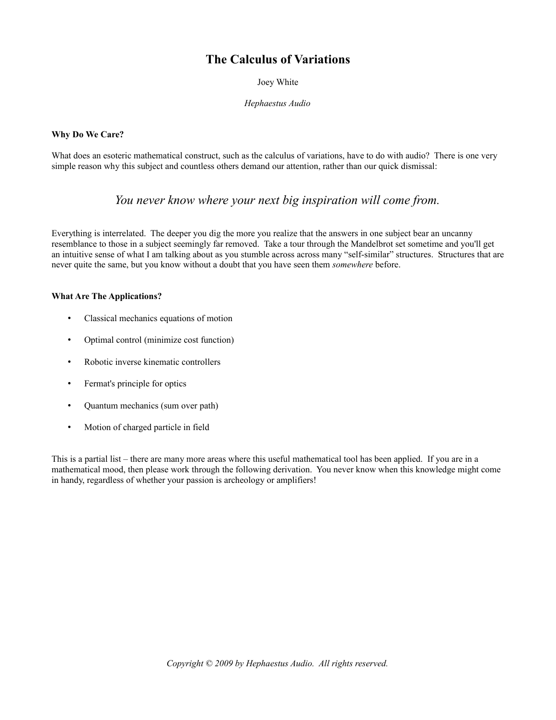# **The Calculus of Variations**

Joey White

*Hephaestus Audio*

## **Why Do We Care?**

What does an esoteric mathematical construct, such as the calculus of variations, have to do with audio? There is one very simple reason why this subject and countless others demand our attention, rather than our quick dismissal:

## *You never know where your next big inspiration will come from.*

Everything is interrelated. The deeper you dig the more you realize that the answers in one subject bear an uncanny resemblance to those in a subject seemingly far removed. Take a tour through the Mandelbrot set sometime and you'll get an intuitive sense of what I am talking about as you stumble across across many "self-similar" structures. Structures that are never quite the same, but you know without a doubt that you have seen them *somewhere* before.

### **What Are The Applications?**

- Classical mechanics equations of motion
- Optimal control (minimize cost function)
- Robotic inverse kinematic controllers
- Fermat's principle for optics
- Quantum mechanics (sum over path)
- Motion of charged particle in field

This is a partial list – there are many more areas where this useful mathematical tool has been applied. If you are in a mathematical mood, then please work through the following derivation. You never know when this knowledge might come in handy, regardless of whether your passion is archeology or amplifiers!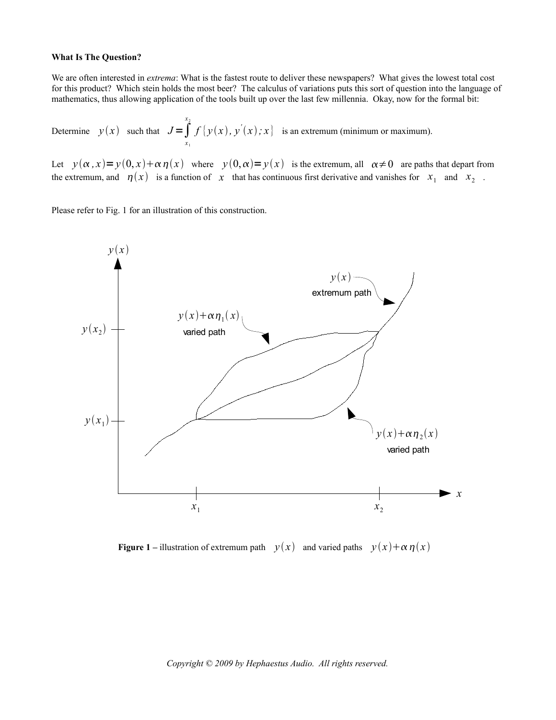#### **What Is The Question?**

We are often interested in *extrema*: What is the fastest route to deliver these newspapers? What gives the lowest total cost for this product? Which stein holds the most beer? The calculus of variations puts this sort of question into the language of mathematics, thus allowing application of the tools built up over the last few millennia. Okay, now for the formal bit:

Determine 
$$
y(x)
$$
 such that  $J = \int_{x_1}^{x_2} f(y(x), y'(x); x)$  is an extremum (minimum or maximum).

Let  $y(\alpha, x) = y(0, x) + \alpha \eta(x)$  where  $y(0, \alpha) = y(x)$  is the extremum, all  $\alpha \neq 0$  are paths that depart from the extremum, and  $\eta(x)$  is a function of x that has continuous first derivative and vanishes for  $x_1$  and  $x_2$ .

Please refer to Fig. 1 for an illustration of this construction.



**Figure 1** – illustration of extremum path  $y(x)$  and varied paths  $y(x) + \alpha \eta(x)$